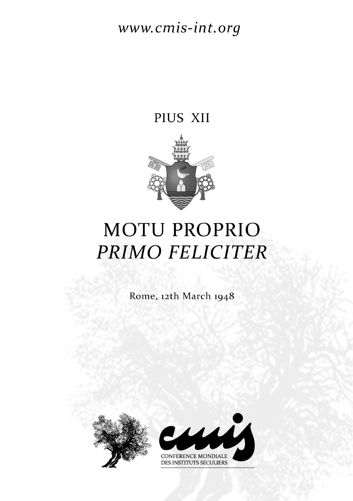## www.cmis-int.org

## PIUS XII



## **MOTU PROPRIO** PRIMO FELICITER

Rome, 12th March 1948



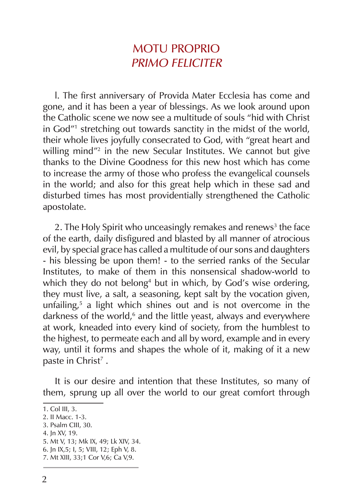## MOTU PROPRIO PRIMO FELICITER

l. The first anniversary of Provida Mater Ecclesia has come and gone, and it has been a year of blessings. As we look around upon the Catholic scene we now see a multitude of souls "hid with Christ in God"<sup>1</sup> stretching out towards sanctity in the midst of the world, their whole lives joyfully consecrated to God, with "great heart and willing mind"2 in the new Secular Institutes. We cannot but give thanks to the Divine Goodness for this new host which has come to increase the army of those who profess the evangelical counsels in the world; and also for this great help which in these sad and disturbed times has most providentially strengthened the Catholic apostolate.

2. The Holy Spirit who unceasingly remakes and renews<sup>3</sup> the face of the earth, daily disfigured and blasted by all manner of atrocious evil, by special grace has called a multitude of our sons and daughters ‑ his blessing be upon them! ‑ to the serried ranks of the Secular Institutes, to make of them in this nonsensical shadow‑world to which they do not belong<sup>4</sup> but in which, by God's wise ordering, they must live, a salt, a seasoning, kept salt by the vocation given, unfailing, $5$  a light which shines out and is not overcome in the darkness of the world,<sup>6</sup> and the little yeast, always and everywhere at work, kneaded into every kind of society, from the humblest to the highest, to permeate each and all by word, example and in every way, until it forms and shapes the whole of it, making of it a new paste in Christ<sup>7</sup>.

It is our desire and intention that these Institutes, so many of them, sprung up all over the world to our great comfort through

<sup>1.</sup> Col III, 3.

<sup>2.</sup> II Macc. 1‑3.

<sup>3.</sup> Psalm CIII, 30.

<sup>4.</sup> Jn XV, 19.

<sup>5.</sup> Mt V, 13; Mk IX, 49; Lk XIV, 34.

<sup>6.</sup> Jn IX,5; I, 5; VIII, 12; Eph V, 8.

<sup>7.</sup> Mt XIII, 33;1 Cor V,6; Ca V,9.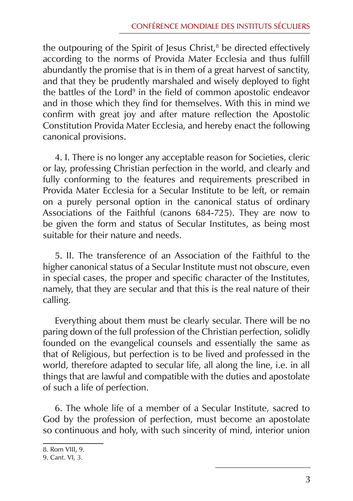the outpouring of the Spirit of Jesus Christ, $^8$  be directed effectively according to the norms of Provida Mater Ecclesia and thus fulfill abundantly the promise that is in them of a great harvest of sanctity, and that they be prudently marshaled and wisely deployed to fight the battles of the Lord<sup>9</sup> in the field of common apostolic endeavor and in those which they find for themselves. With this in mind we confirm with great joy and after mature reflection the Apostolic Constitution Provida Mater Ecclesia, and hereby enact the following canonical provisions.

4. I. There is no longer any acceptable reason for Societies, cleric or lay, professing Christian perfection in the world, and clearly and fully conforming to the features and requirements prescribed in Provida Mater Ecclesia for a Secular Institute to be left, or remain on a purely personal option in the canonical status of ordinary Associations of the Faithful (canons 684‑725). They are now to be given the form and status of Secular Institutes, as being most suitable for their nature and needs.

5. II. The transference of an Association of the Faithful to the higher canonical status of a Secular Institute must not obscure, even in special cases, the proper and specific character of the Institutes, namely, that they are secular and that this is the real nature of their calling.

Everything about them must be clearly secular. There will be no paring down of the full profession of the Christian perfection, solidly founded on the evangelical counsels and essentially the same as that of Religious, but perfection is to be lived and professed in the world, therefore adapted to secular life, all along the line, i.e. in all things that are lawful and compatible with the duties and apostolate of such a life of perfection.

6. The whole life of a member of a Secular Institute, sacred to God by the profession of perfection, must become an apostolate so continuous and holy, with such sincerity of mind, interior union

<sup>8.</sup> Rom VIII, 9.

<sup>9.</sup> Cant. VI, 3.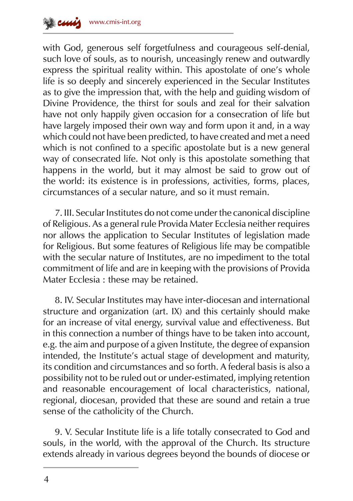

with God, generous self forgetfulness and courageous self-denial, such love of souls, as to nourish, unceasingly renew and outwardly express the spiritual reality within. This apostolate of one's whole life is so deeply and sincerely experienced in the Secular Institutes as to give the impression that, with the help and guiding wisdom of Divine Providence, the thirst for souls and zeal for their salvation have not only happily given occasion for a consecration of life but have largely imposed their own way and form upon it and, in a way which could not have been predicted, to have created and met a need which is not confined to a specific apostolate but is a new general way of consecrated life. Not only is this apostolate something that happens in the world, but it may almost be said to grow out of the world: its existence is in professions, activities, forms, places, circumstances of a secular nature, and so it must remain.

7. III. Secular Institutes do not come under the canonical discipline of Religious. As a general rule Provida Mater Ecclesia neither requires nor allows the application to Secular Institutes of legislation made for Religious. But some features of Religious life may be compatible with the secular nature of Institutes, are no impediment to the total commitment of life and are in keeping with the provisions of Provida Mater Ecclesia : these may be retained.

8. IV. Secular Institutes may have inter-diocesan and international structure and organization (art. IX) and this certainly should make for an increase of vital energy, survival value and effectiveness. But in this connection a number of things have to be taken into account, e.g. the aim and purpose of a given Institute, the degree of expansion intended, the Institute's actual stage of development and maturity, its condition and circumstances and so forth. A federal basis is also a possibility not to be ruled out or under‑estimated, implying retention and reasonable encouragement of local characteristics, national, regional, diocesan, provided that these are sound and retain a true sense of the catholicity of the Church.

9. V. Secular Institute life is a life totally consecrated to God and souls, in the world, with the approval of the Church. Its structure extends already in various degrees beyond the bounds of diocese or